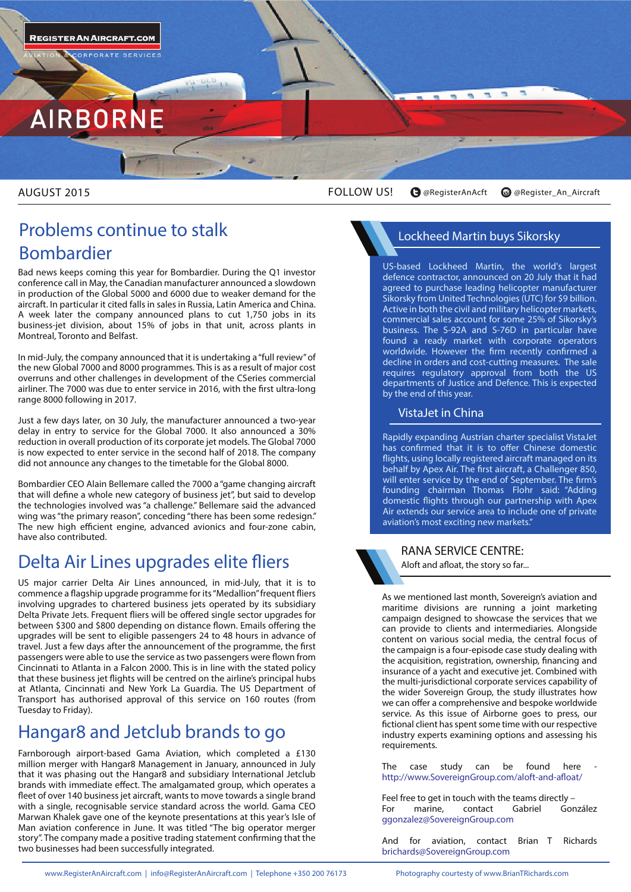

ORPORATE SERVICE:



AUGUST 2015

FOLLOW US! **@RegisterAnAcft @Register\_An\_Aircraft**

### **Problems continue to stalk Bombardier**

Bad news keeps coming this year for Bombardier. During the Q1 investor conference call in May, the Canadian manufacturer announced a slowdown in production of the Global 5000 and 6000 due to weaker demand for the aircraft. In particular it cited falls in sales in Russia, Latin America and China. A week later the company announced plans to cut 1,750 jobs in its business-jet division, about 15% of jobs in that unit, across plants in Montreal, Toronto and Belfast.

In mid-July, the company announced that it is undertaking a "full review" of the new Global 7000 and 8000 programmes. This is as a result of major cost overruns and other challenges in development of the CSeries commercial airliner. The 7000 was due to enter service in 2016, with the first ultra-long range 8000 following in 2017.

Just a few days later, on 30 July, the manufacturer announced a two-year delay in entry to service for the Global 7000. It also announced a 30% reduction in overall production of its corporate jet models. The Global 7000 is now expected to enter service in the second half of 2018. The company did not announce any changes to the timetable for the Global 8000.

Bombardier CEO Alain Bellemare called the 7000 a "game changing aircraft that will define a whole new category of business jet", but said to develop the technologies involved was "a challenge." Bellemare said the advanced wing was "the primary reason", conceding "there has been some redesign." The new high efficient engine, advanced avionics and four-zone cabin, have also contributed.

## **Delta Air Lines upgrades elite fliers**

US major carrier Delta Air Lines announced, in mid-July, that it is to commence a flagship upgrade programme for its "Medallion" frequent fliers involving upgrades to chartered business jets operated by its subsidiary Delta Private Jets. Frequent fliers will be offered single sector upgrades for between \$300 and \$800 depending on distance flown. Emails offering the upgrades will be sent to eligible passengers 24 to 48 hours in advance of travel. Just a few days after the announcement of the programme, the first passengers were able to use the service as two passengers were flown from Cincinnati to Atlanta in a Falcon 2000. This is in line with the stated policy that these business jet flights will be centred on the airline's principal hubs at Atlanta, Cincinnati and New York La Guardia. The US Department of Transport has authorised approval of this service on 160 routes (from Tuesday to Friday).

### **Hangar8 and Jetclub brands to go**

Farnborough airport-based Gama Aviation, which completed a £130 million merger with Hangar8 Management in January, announced in July that it was phasing out the Hangar8 and subsidiary International Jetclub brands with immediate effect. The amalgamated group, which operates a fleet of over 140 business jet aircraft, wants to move towards a single brand with a single, recognisable service standard across the world. Gama CEO Marwan Khalek gave one of the keynote presentations at this year's Isle of Man aviation conference in June. It was titled "The big operator merger story". The company made a positive trading statement confirming that the two businesses had been successfully integrated.

### **Lockheed Martin buys Sikorsky**

US-based Lockheed Martin, the world's largest defence contractor, announced on 20 July that it had agreed to purchase leading helicopter manufacturer Sikorsky from United Technologies (UTC) for \$9 billion. Active in both the civil and military helicopter markets, commercial sales account for some 25% of Sikorsky's business. The S-92A and S-76D in particular have found a ready market with corporate operators worldwide. However the firm recently confirmed a decline in orders and cost-cutting measures. The sale requires regulatory approval from both the US departments of Justice and Defence. This is expected by the end of this year.

### **VistaJet in China**

Rapidly expanding Austrian charter specialist VistaJet has confirmed that it is to offer Chinese domestic flights, using locally registered aircraft managed on its behalf by Apex Air. The first aircraft, a Challenger 850, will enter service by the end of September. The firm's founding chairman Thomas Flohr said: "Adding domestic flights through our partnership with Apex Air extends our service area to include one of private aviation's most exciting new markets."

**RANA SERVICE CENTRE:** Aloft and afloat, the story so far...

As we mentioned last month, Sovereign's aviation and maritime divisions are running a joint marketing campaign designed to showcase the services that we can provide to clients and intermediaries. Alongside content on various social media, the central focus of the campaign is a four-episode case study dealing with the acquisition, registration, ownership, financing and insurance of a yacht and executive jet. Combined with the multi-jurisdictional corporate services capability of the wider Sovereign Group, the study illustrates how we can offer a comprehensive and bespoke worldwide service. As this issue of Airborne goes to press, our fictional client has spent some time with our respective industry experts examining options and assessing his requirements.

The case study can be found here http://www.SovereignGroup.com/aloft-and-afloat/

Feel free to get in touch with the teams directly –<br>For marine. contact Gabriel González For marine, contact ggonzalez@SovereignGroup.com

And for aviation, contact Brian T Richards brichards@SovereignGroup.com